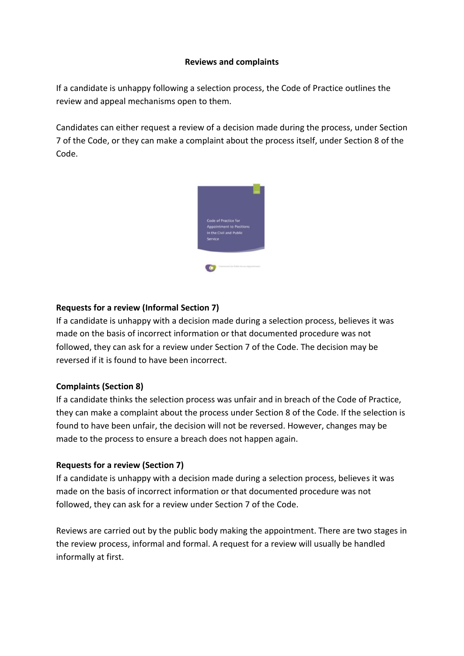# **Reviews and complaints**

If a candidate is unhappy following a selection process, the Code of Practice outlines the review and appeal mechanisms open to them.

Candidates can either request a review of a decision made during the process, under Section 7 of the Code, or they can make a complaint about the process itself, under Section 8 of the Code.



# **Requests for a review (Informal Section 7)**

If a candidate is unhappy with a decision made during a selection process, believes it was made on the basis of incorrect information or that documented procedure was not followed, they can ask for a review under Section 7 of the Code. The decision may be reversed if it is found to have been incorrect.

# **Complaints (Section 8)**

If a candidate thinks the selection process was unfair and in breach of the Code of Practice, they can make a complaint about the process under Section 8 of the Code. If the selection is found to have been unfair, the decision will not be reversed. However, changes may be made to the process to ensure a breach does not happen again.

# **Requests for a review (Section 7)**

If a candidate is unhappy with a decision made during a selection process, believes it was made on the basis of incorrect information or that documented procedure was not followed, they can ask for a review under Section 7 of the Code.

Reviews are carried out by the public body making the appointment. There are two stages in the review process, informal and formal. A request for a review will usually be handled informally at first.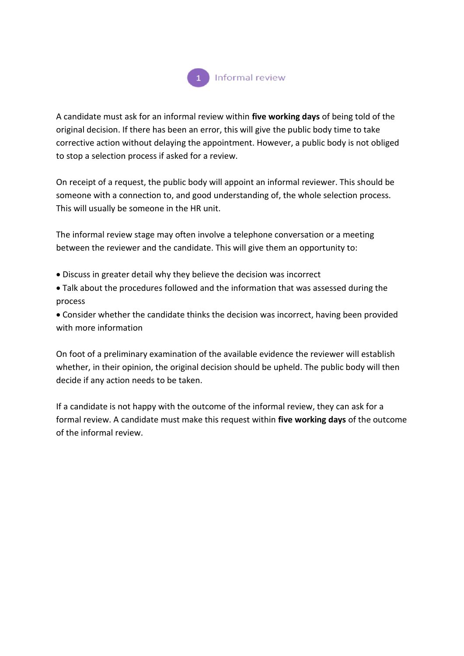

A candidate must ask for an informal review within **five working days** of being told of the original decision. If there has been an error, this will give the public body time to take corrective action without delaying the appointment. However, a public body is not obliged to stop a selection process if asked for a review.

On receipt of a request, the public body will appoint an informal reviewer. This should be someone with a connection to, and good understanding of, the whole selection process. This will usually be someone in the HR unit.

The informal review stage may often involve a telephone conversation or a meeting between the reviewer and the candidate. This will give them an opportunity to:

- Discuss in greater detail why they believe the decision was incorrect
- Talk about the procedures followed and the information that was assessed during the process

 Consider whether the candidate thinks the decision was incorrect, having been provided with more information

On foot of a preliminary examination of the available evidence the reviewer will establish whether, in their opinion, the original decision should be upheld. The public body will then decide if any action needs to be taken.

If a candidate is not happy with the outcome of the informal review, they can ask for a formal review. A candidate must make this request within **five working days** of the outcome of the informal review.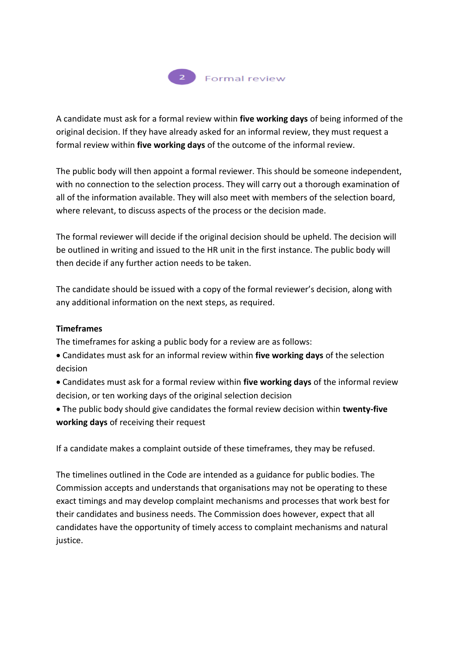

A candidate must ask for a formal review within **five working days** of being informed of the original decision. If they have already asked for an informal review, they must request a formal review within **five working days** of the outcome of the informal review.

The public body will then appoint a formal reviewer. This should be someone independent, with no connection to the selection process. They will carry out a thorough examination of all of the information available. They will also meet with members of the selection board, where relevant, to discuss aspects of the process or the decision made.

The formal reviewer will decide if the original decision should be upheld. The decision will be outlined in writing and issued to the HR unit in the first instance. The public body will then decide if any further action needs to be taken.

The candidate should be issued with a copy of the formal reviewer's decision, along with any additional information on the next steps, as required.

# **Timeframes**

The timeframes for asking a public body for a review are as follows:

 Candidates must ask for an informal review within **five working days** of the selection decision

 Candidates must ask for a formal review within **five working days** of the informal review decision, or ten working days of the original selection decision

 The public body should give candidates the formal review decision within **twenty-five working days** of receiving their request

If a candidate makes a complaint outside of these timeframes, they may be refused.

The timelines outlined in the Code are intended as a guidance for public bodies. The Commission accepts and understands that organisations may not be operating to these exact timings and may develop complaint mechanisms and processes that work best for their candidates and business needs. The Commission does however, expect that all candidates have the opportunity of timely access to complaint mechanisms and natural justice.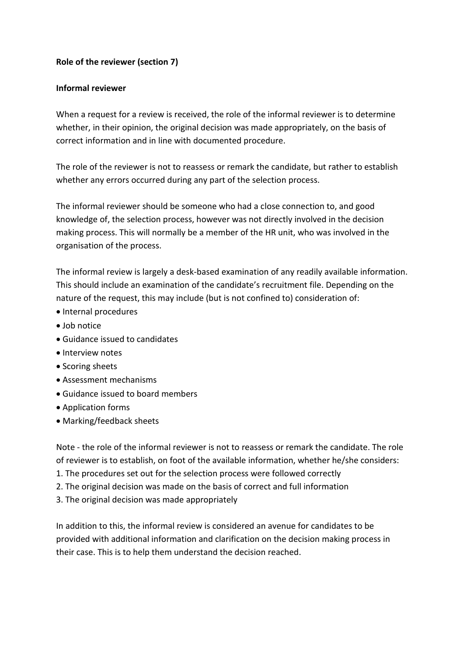# **Role of the reviewer (section 7)**

### **Informal reviewer**

When a request for a review is received, the role of the informal reviewer is to determine whether, in their opinion, the original decision was made appropriately, on the basis of correct information and in line with documented procedure.

The role of the reviewer is not to reassess or remark the candidate, but rather to establish whether any errors occurred during any part of the selection process.

The informal reviewer should be someone who had a close connection to, and good knowledge of, the selection process, however was not directly involved in the decision making process. This will normally be a member of the HR unit, who was involved in the organisation of the process.

The informal review is largely a desk-based examination of any readily available information. This should include an examination of the candidate's recruitment file. Depending on the nature of the request, this may include (but is not confined to) consideration of:

- Internal procedures
- Job notice
- Guidance issued to candidates
- Interview notes
- Scoring sheets
- Assessment mechanisms
- Guidance issued to board members
- Application forms
- Marking/feedback sheets

Note - the role of the informal reviewer is not to reassess or remark the candidate. The role of reviewer is to establish, on foot of the available information, whether he/she considers:

- 1. The procedures set out for the selection process were followed correctly
- 2. The original decision was made on the basis of correct and full information
- 3. The original decision was made appropriately

In addition to this, the informal review is considered an avenue for candidates to be provided with additional information and clarification on the decision making process in their case. This is to help them understand the decision reached.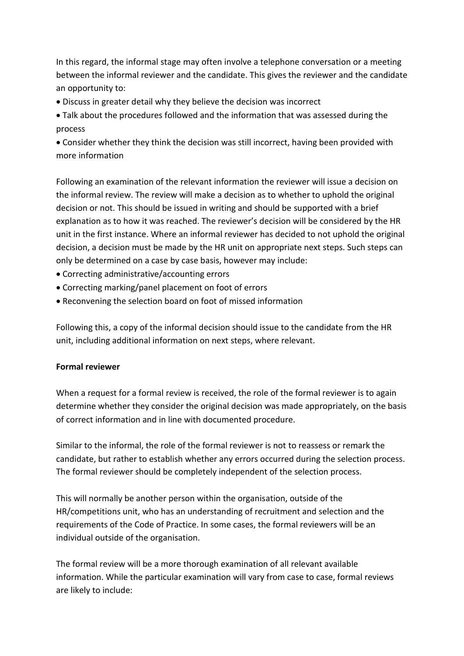In this regard, the informal stage may often involve a telephone conversation or a meeting between the informal reviewer and the candidate. This gives the reviewer and the candidate an opportunity to:

- Discuss in greater detail why they believe the decision was incorrect
- Talk about the procedures followed and the information that was assessed during the process

 Consider whether they think the decision was still incorrect, having been provided with more information

Following an examination of the relevant information the reviewer will issue a decision on the informal review. The review will make a decision as to whether to uphold the original decision or not. This should be issued in writing and should be supported with a brief explanation as to how it was reached. The reviewer's decision will be considered by the HR unit in the first instance. Where an informal reviewer has decided to not uphold the original decision, a decision must be made by the HR unit on appropriate next steps. Such steps can only be determined on a case by case basis, however may include:

- Correcting administrative/accounting errors
- Correcting marking/panel placement on foot of errors
- Reconvening the selection board on foot of missed information

Following this, a copy of the informal decision should issue to the candidate from the HR unit, including additional information on next steps, where relevant.

# **Formal reviewer**

When a request for a formal review is received, the role of the formal reviewer is to again determine whether they consider the original decision was made appropriately, on the basis of correct information and in line with documented procedure.

Similar to the informal, the role of the formal reviewer is not to reassess or remark the candidate, but rather to establish whether any errors occurred during the selection process. The formal reviewer should be completely independent of the selection process.

This will normally be another person within the organisation, outside of the HR/competitions unit, who has an understanding of recruitment and selection and the requirements of the Code of Practice. In some cases, the formal reviewers will be an individual outside of the organisation.

The formal review will be a more thorough examination of all relevant available information. While the particular examination will vary from case to case, formal reviews are likely to include: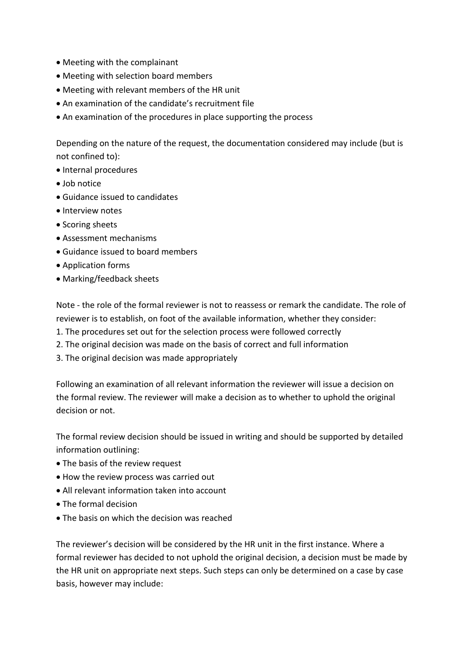- Meeting with the complainant
- Meeting with selection board members
- Meeting with relevant members of the HR unit
- An examination of the candidate's recruitment file
- An examination of the procedures in place supporting the process

Depending on the nature of the request, the documentation considered may include (but is not confined to):

- Internal procedures
- Job notice
- Guidance issued to candidates
- Interview notes
- Scoring sheets
- Assessment mechanisms
- Guidance issued to board members
- Application forms
- Marking/feedback sheets

Note - the role of the formal reviewer is not to reassess or remark the candidate. The role of reviewer is to establish, on foot of the available information, whether they consider:

- 1. The procedures set out for the selection process were followed correctly
- 2. The original decision was made on the basis of correct and full information
- 3. The original decision was made appropriately

Following an examination of all relevant information the reviewer will issue a decision on the formal review. The reviewer will make a decision as to whether to uphold the original decision or not.

The formal review decision should be issued in writing and should be supported by detailed information outlining:

- The basis of the review request
- How the review process was carried out
- All relevant information taken into account
- The formal decision
- The basis on which the decision was reached

The reviewer's decision will be considered by the HR unit in the first instance. Where a formal reviewer has decided to not uphold the original decision, a decision must be made by the HR unit on appropriate next steps. Such steps can only be determined on a case by case basis, however may include: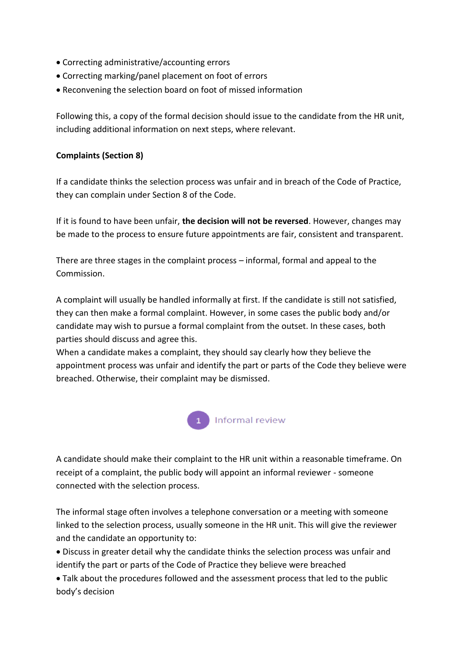- Correcting administrative/accounting errors
- Correcting marking/panel placement on foot of errors
- Reconvening the selection board on foot of missed information

Following this, a copy of the formal decision should issue to the candidate from the HR unit, including additional information on next steps, where relevant.

# **Complaints (Section 8)**

If a candidate thinks the selection process was unfair and in breach of the Code of Practice, they can complain under Section 8 of the Code.

If it is found to have been unfair, **the decision will not be reversed**. However, changes may be made to the process to ensure future appointments are fair, consistent and transparent.

There are three stages in the complaint process – informal, formal and appeal to the Commission.

A complaint will usually be handled informally at first. If the candidate is still not satisfied, they can then make a formal complaint. However, in some cases the public body and/or candidate may wish to pursue a formal complaint from the outset. In these cases, both parties should discuss and agree this.

When a candidate makes a complaint, they should say clearly how they believe the appointment process was unfair and identify the part or parts of the Code they believe were breached. Otherwise, their complaint may be dismissed.



A candidate should make their complaint to the HR unit within a reasonable timeframe. On receipt of a complaint, the public body will appoint an informal reviewer - someone connected with the selection process.

The informal stage often involves a telephone conversation or a meeting with someone linked to the selection process, usually someone in the HR unit. This will give the reviewer and the candidate an opportunity to:

 Discuss in greater detail why the candidate thinks the selection process was unfair and identify the part or parts of the Code of Practice they believe were breached

 Talk about the procedures followed and the assessment process that led to the public body's decision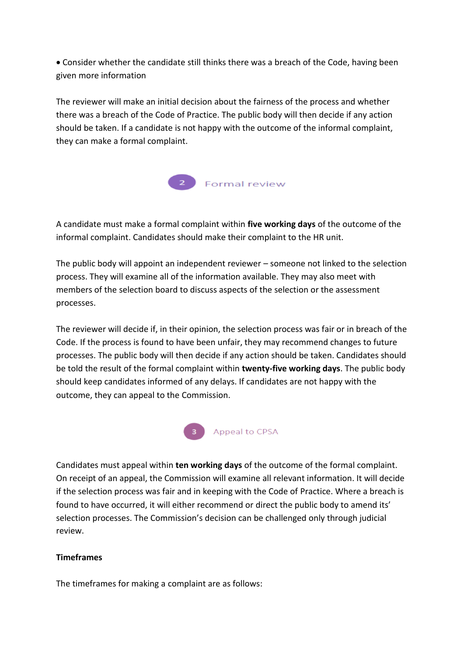Consider whether the candidate still thinks there was a breach of the Code, having been given more information

The reviewer will make an initial decision about the fairness of the process and whether there was a breach of the Code of Practice. The public body will then decide if any action should be taken. If a candidate is not happy with the outcome of the informal complaint, they can make a formal complaint.



A candidate must make a formal complaint within **five working days** of the outcome of the informal complaint. Candidates should make their complaint to the HR unit.

The public body will appoint an independent reviewer – someone not linked to the selection process. They will examine all of the information available. They may also meet with members of the selection board to discuss aspects of the selection or the assessment processes.

The reviewer will decide if, in their opinion, the selection process was fair or in breach of the Code. If the process is found to have been unfair, they may recommend changes to future processes. The public body will then decide if any action should be taken. Candidates should be told the result of the formal complaint within **twenty-five working days**. The public body should keep candidates informed of any delays. If candidates are not happy with the outcome, they can appeal to the Commission.



Candidates must appeal within **ten working days** of the outcome of the formal complaint. On receipt of an appeal, the Commission will examine all relevant information. It will decide if the selection process was fair and in keeping with the Code of Practice. Where a breach is found to have occurred, it will either recommend or direct the public body to amend its' selection processes. The Commission's decision can be challenged only through judicial review.

# **Timeframes**

The timeframes for making a complaint are as follows: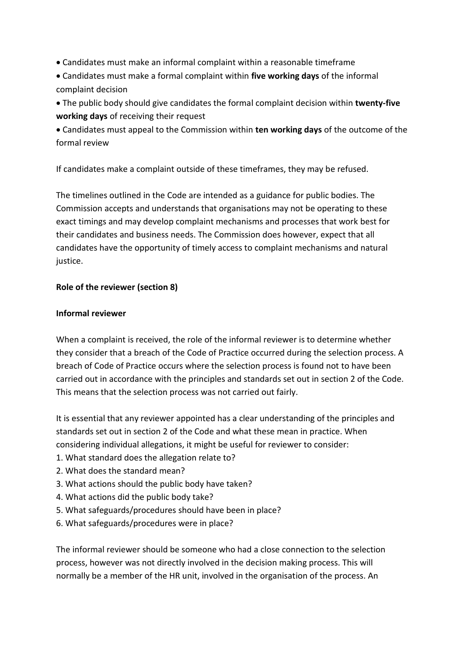- Candidates must make an informal complaint within a reasonable timeframe
- Candidates must make a formal complaint within **five working days** of the informal complaint decision
- The public body should give candidates the formal complaint decision within **twenty-five working days** of receiving their request
- Candidates must appeal to the Commission within **ten working days** of the outcome of the formal review
- If candidates make a complaint outside of these timeframes, they may be refused.

The timelines outlined in the Code are intended as a guidance for public bodies. The Commission accepts and understands that organisations may not be operating to these exact timings and may develop complaint mechanisms and processes that work best for their candidates and business needs. The Commission does however, expect that all candidates have the opportunity of timely access to complaint mechanisms and natural justice.

# **Role of the reviewer (section 8)**

# **Informal reviewer**

When a complaint is received, the role of the informal reviewer is to determine whether they consider that a breach of the Code of Practice occurred during the selection process. A breach of Code of Practice occurs where the selection process is found not to have been carried out in accordance with the principles and standards set out in section 2 of the Code. This means that the selection process was not carried out fairly.

It is essential that any reviewer appointed has a clear understanding of the principles and standards set out in section 2 of the Code and what these mean in practice. When considering individual allegations, it might be useful for reviewer to consider:

- 1. What standard does the allegation relate to?
- 2. What does the standard mean?
- 3. What actions should the public body have taken?
- 4. What actions did the public body take?
- 5. What safeguards/procedures should have been in place?
- 6. What safeguards/procedures were in place?

The informal reviewer should be someone who had a close connection to the selection process, however was not directly involved in the decision making process. This will normally be a member of the HR unit, involved in the organisation of the process. An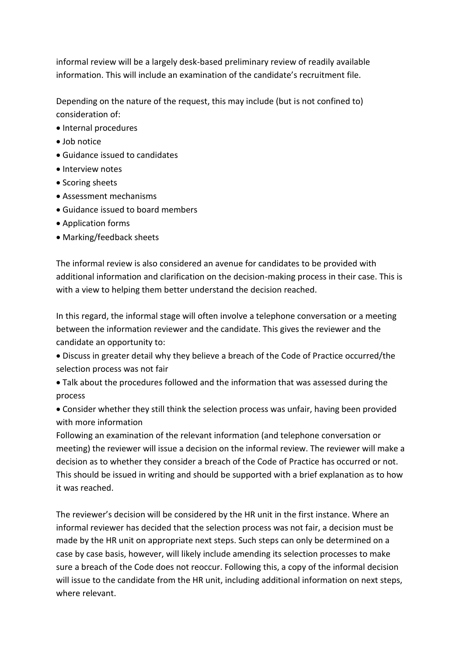informal review will be a largely desk-based preliminary review of readily available information. This will include an examination of the candidate's recruitment file.

Depending on the nature of the request, this may include (but is not confined to) consideration of:

- Internal procedures
- $\bullet$  Iob notice
- Guidance issued to candidates
- **·** Interview notes
- Scoring sheets
- Assessment mechanisms
- Guidance issued to board members
- Application forms
- Marking/feedback sheets

The informal review is also considered an avenue for candidates to be provided with additional information and clarification on the decision-making process in their case. This is with a view to helping them better understand the decision reached.

In this regard, the informal stage will often involve a telephone conversation or a meeting between the information reviewer and the candidate. This gives the reviewer and the candidate an opportunity to:

 Discuss in greater detail why they believe a breach of the Code of Practice occurred/the selection process was not fair

 Talk about the procedures followed and the information that was assessed during the process

 Consider whether they still think the selection process was unfair, having been provided with more information

Following an examination of the relevant information (and telephone conversation or meeting) the reviewer will issue a decision on the informal review. The reviewer will make a decision as to whether they consider a breach of the Code of Practice has occurred or not. This should be issued in writing and should be supported with a brief explanation as to how it was reached.

The reviewer's decision will be considered by the HR unit in the first instance. Where an informal reviewer has decided that the selection process was not fair, a decision must be made by the HR unit on appropriate next steps. Such steps can only be determined on a case by case basis, however, will likely include amending its selection processes to make sure a breach of the Code does not reoccur. Following this, a copy of the informal decision will issue to the candidate from the HR unit, including additional information on next steps, where relevant.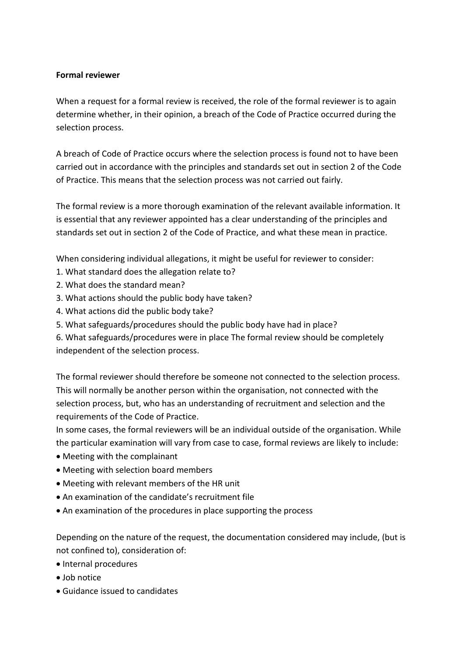### **Formal reviewer**

When a request for a formal review is received, the role of the formal reviewer is to again determine whether, in their opinion, a breach of the Code of Practice occurred during the selection process.

A breach of Code of Practice occurs where the selection process is found not to have been carried out in accordance with the principles and standards set out in section 2 of the Code of Practice. This means that the selection process was not carried out fairly.

The formal review is a more thorough examination of the relevant available information. It is essential that any reviewer appointed has a clear understanding of the principles and standards set out in section 2 of the Code of Practice, and what these mean in practice.

When considering individual allegations, it might be useful for reviewer to consider:

- 1. What standard does the allegation relate to?
- 2. What does the standard mean?
- 3. What actions should the public body have taken?
- 4. What actions did the public body take?
- 5. What safeguards/procedures should the public body have had in place?
- 6. What safeguards/procedures were in place The formal review should be completely independent of the selection process.

The formal reviewer should therefore be someone not connected to the selection process. This will normally be another person within the organisation, not connected with the selection process, but, who has an understanding of recruitment and selection and the requirements of the Code of Practice.

In some cases, the formal reviewers will be an individual outside of the organisation. While the particular examination will vary from case to case, formal reviews are likely to include:

- Meeting with the complainant
- Meeting with selection board members
- Meeting with relevant members of the HR unit
- An examination of the candidate's recruitment file
- An examination of the procedures in place supporting the process

Depending on the nature of the request, the documentation considered may include, (but is not confined to), consideration of:

- Internal procedures
- Job notice
- Guidance issued to candidates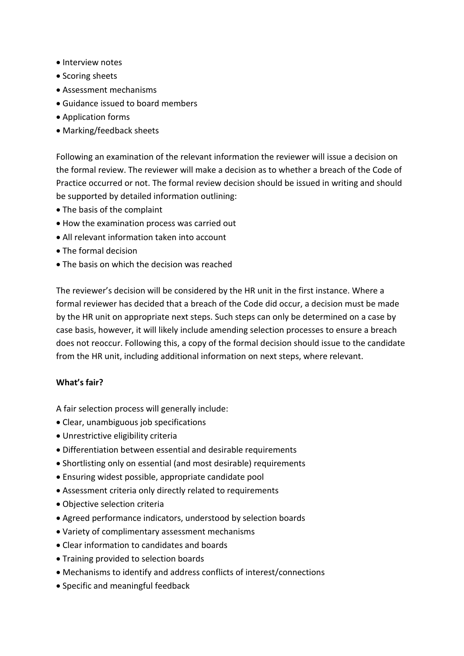- Interview notes
- Scoring sheets
- Assessment mechanisms
- Guidance issued to board members
- Application forms
- Marking/feedback sheets

Following an examination of the relevant information the reviewer will issue a decision on the formal review. The reviewer will make a decision as to whether a breach of the Code of Practice occurred or not. The formal review decision should be issued in writing and should be supported by detailed information outlining:

- The basis of the complaint
- How the examination process was carried out
- All relevant information taken into account
- The formal decision
- The basis on which the decision was reached

The reviewer's decision will be considered by the HR unit in the first instance. Where a formal reviewer has decided that a breach of the Code did occur, a decision must be made by the HR unit on appropriate next steps. Such steps can only be determined on a case by case basis, however, it will likely include amending selection processes to ensure a breach does not reoccur. Following this, a copy of the formal decision should issue to the candidate from the HR unit, including additional information on next steps, where relevant.

#### **What's fair?**

A fair selection process will generally include:

- Clear, unambiguous job specifications
- Unrestrictive eligibility criteria
- Differentiation between essential and desirable requirements
- Shortlisting only on essential (and most desirable) requirements
- Ensuring widest possible, appropriate candidate pool
- Assessment criteria only directly related to requirements
- Objective selection criteria
- Agreed performance indicators, understood by selection boards
- Variety of complimentary assessment mechanisms
- Clear information to candidates and boards
- Training provided to selection boards
- Mechanisms to identify and address conflicts of interest/connections
- Specific and meaningful feedback